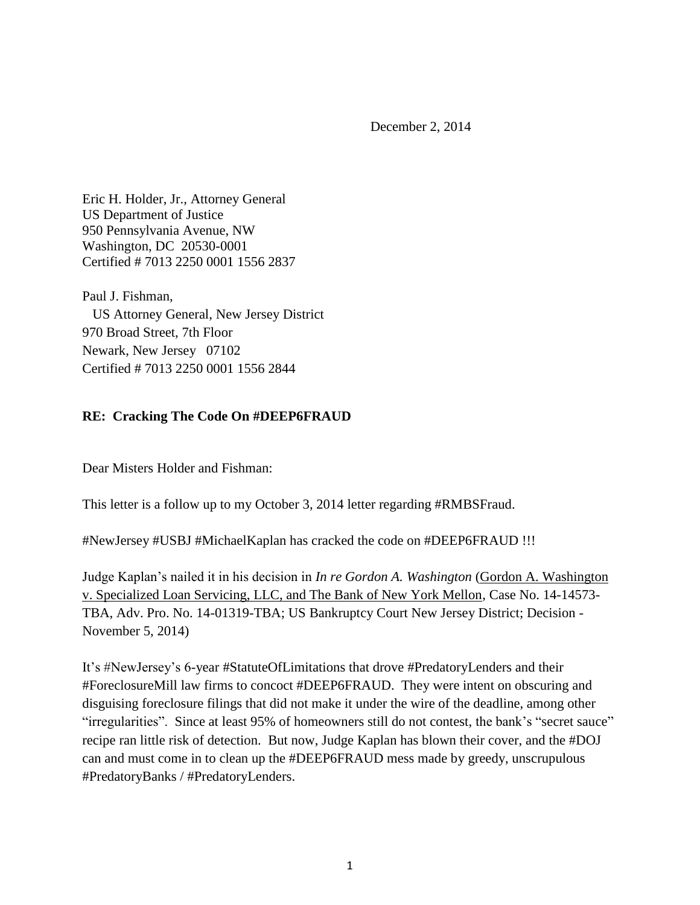December 2, 2014

Eric H. Holder, Jr., Attorney General US Department of Justice 950 Pennsylvania Avenue, NW Washington, DC 20530-0001 Certified # 7013 2250 0001 1556 2837

Paul J. Fishman, US Attorney General, New Jersey District 970 Broad Street, 7th Floor Newark, New Jersey 07102 Certified # 7013 2250 0001 1556 2844

## **RE: Cracking The Code On #DEEP6FRAUD**

Dear Misters Holder and Fishman:

This letter is a follow up to my October 3, 2014 letter regarding #RMBSFraud.

#NewJersey #USBJ #MichaelKaplan has cracked the code on #DEEP6FRAUD !!!

Judge Kaplan's nailed it in his decision in *In re Gordon A. Washington* (Gordon A. Washington v. Specialized Loan Servicing, LLC, and The Bank of New York Mellon, Case No. 14-14573- TBA, Adv. Pro. No. 14-01319-TBA; US Bankruptcy Court New Jersey District; Decision - November 5, 2014)

It's #NewJersey's 6-year #StatuteOfLimitations that drove #PredatoryLenders and their #ForeclosureMill law firms to concoct #DEEP6FRAUD. They were intent on obscuring and disguising foreclosure filings that did not make it under the wire of the deadline, among other "irregularities". Since at least 95% of homeowners still do not contest, the bank's "secret sauce" recipe ran little risk of detection. But now, Judge Kaplan has blown their cover, and the #DOJ can and must come in to clean up the #DEEP6FRAUD mess made by greedy, unscrupulous #PredatoryBanks / #PredatoryLenders.